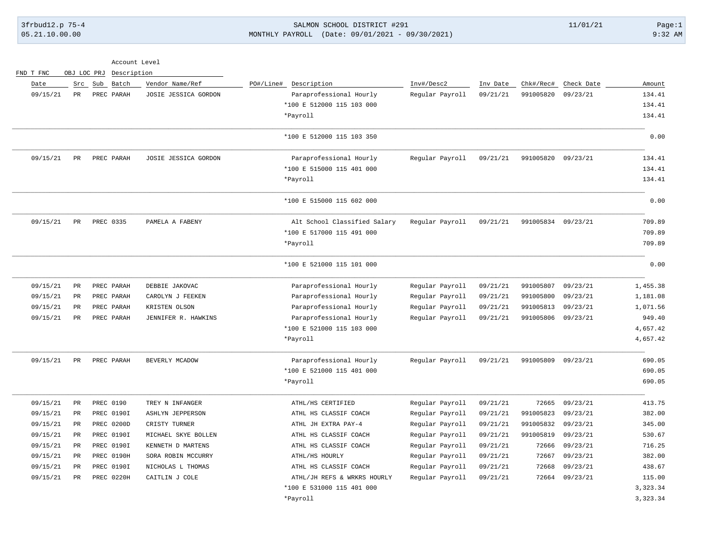3frbud12.p 75-4 Page:1 2011/01/21 Page:1 05.21.10.00.00 MONTHLY PAYROLL (Date: 09/01/2021 - 09/30/2021) 9:32 AM

| Account Level |  |
|---------------|--|
|               |  |

| FND T FNC | OBJ LOC PRJ | Description   |                         |           |                              |                 |          |                    |            |          |
|-----------|-------------|---------------|-------------------------|-----------|------------------------------|-----------------|----------|--------------------|------------|----------|
| Date      |             | Src Sub Batch | Vendor Name/Ref         | PO#/Line# | Description                  | Inv#/Desc2      | Inv Date | Chk#/Rec#          | Check Date | Amount   |
| 09/15/21  | PR          | PREC PARAH    | JOSIE JESSICA GORDON    |           | Paraprofessional Hourly      | Regular Payroll | 09/21/21 | 991005820          | 09/23/21   | 134.41   |
|           |             |               |                         |           | *100 E 512000 115 103 000    |                 |          |                    |            | 134.41   |
|           |             |               |                         |           | *Payroll                     |                 |          |                    |            | 134.41   |
|           |             |               |                         |           | *100 E 512000 115 103 350    |                 |          |                    |            | 0.00     |
| 09/15/21  | PR          | PREC PARAH    | JOSIE JESSICA GORDON    |           | Paraprofessional Hourly      | Regular Payroll | 09/21/21 | 991005820 09/23/21 |            | 134.41   |
|           |             |               |                         |           | *100 E 515000 115 401 000    |                 |          |                    |            | 134.41   |
|           |             |               |                         |           | *Payroll                     |                 |          |                    |            | 134.41   |
|           |             |               |                         |           | *100 E 515000 115 602 000    |                 |          |                    |            | 0.00     |
| 09/15/21  | <b>PR</b>   | PREC 0335     | PAMELA A FABENY         |           | Alt School Classified Salary | Regular Payroll | 09/21/21 | 991005834 09/23/21 |            | 709.89   |
|           |             |               |                         |           | *100 E 517000 115 491 000    |                 |          |                    |            | 709.89   |
|           |             |               |                         |           | *Payroll                     |                 |          |                    |            | 709.89   |
|           |             |               |                         |           | *100 E 521000 115 101 000    |                 |          |                    |            | 0.00     |
| 09/15/21  | <b>PR</b>   | PREC PARAH    | DEBBIE JAKOVAC          |           | Paraprofessional Hourly      | Regular Payroll | 09/21/21 | 991005807          | 09/23/21   | 1,455.38 |
| 09/15/21  | PR          | PREC PARAH    | CAROLYN J FEEKEN        |           | Paraprofessional Hourly      | Regular Payroll | 09/21/21 | 991005800          | 09/23/21   | 1,181.08 |
| 09/15/21  | PR          | PREC PARAH    | KRISTEN OLSON           |           | Paraprofessional Hourly      | Regular Payroll | 09/21/21 | 991005813          | 09/23/21   | 1,071.56 |
| 09/15/21  | PR          | PREC PARAH    | JENNIFER R. HAWKINS     |           | Paraprofessional Hourly      | Regular Payroll | 09/21/21 | 991005806          | 09/23/21   | 949.40   |
|           |             |               |                         |           | *100 E 521000 115 103 000    |                 |          |                    |            | 4,657.42 |
|           |             |               |                         |           | *Payroll                     |                 |          |                    |            | 4,657.42 |
| 09/15/21  | PR          | PREC PARAH    | BEVERLY MCADOW          |           | Paraprofessional Hourly      | Regular Payroll | 09/21/21 | 991005809          | 09/23/21   | 690.05   |
|           |             |               |                         |           | *100 E 521000 115 401 000    |                 |          |                    |            | 690.05   |
|           |             |               |                         |           | *Payroll                     |                 |          |                    |            | 690.05   |
| 09/15/21  | PR          | PREC 0190     | TREY N INFANGER         |           | ATHL/HS CERTIFIED            | Regular Payroll | 09/21/21 | 72665              | 09/23/21   | 413.75   |
| 09/15/21  | PR          | PREC 0190I    | <b>ASHLYN JEPPERSON</b> |           | ATHL HS CLASSIF COACH        | Regular Payroll | 09/21/21 | 991005823          | 09/23/21   | 382.00   |
| 09/15/21  | $_{\rm PR}$ | PREC 0200D    | CRISTY TURNER           |           | ATHL JH EXTRA PAY-4          | Regular Payroll | 09/21/21 | 991005832          | 09/23/21   | 345.00   |
| 09/15/21  | PR          | PREC 0190I    | MICHAEL SKYE BOLLEN     |           | ATHL HS CLASSIF COACH        | Regular Payroll | 09/21/21 | 991005819          | 09/23/21   | 530.67   |
| 09/15/21  | PR          | PREC 0190I    | KENNETH D MARTENS       |           | ATHL HS CLASSIF COACH        | Regular Payroll | 09/21/21 | 72666              | 09/23/21   | 716.25   |
| 09/15/21  | PR          | PREC 0190H    | SORA ROBIN MCCURRY      |           | ATHL/HS HOURLY               | Regular Payroll | 09/21/21 | 72667              | 09/23/21   | 382.00   |
| 09/15/21  | $_{\rm PR}$ | PREC 0190I    | NICHOLAS L THOMAS       |           | ATHL HS CLASSIF COACH        | Regular Payroll | 09/21/21 | 72668              | 09/23/21   | 438.67   |
| 09/15/21  | PR          | PREC 0220H    | CAITLIN J COLE          |           | ATHL/JH REFS & WRKRS HOURLY  | Regular Payroll | 09/21/21 | 72664              | 09/23/21   | 115.00   |
|           |             |               |                         |           | *100 E 531000 115 401 000    |                 |          |                    |            | 3,323.34 |
|           |             |               |                         |           | *Payroll                     |                 |          |                    |            | 3,323.34 |
|           |             |               |                         |           |                              |                 |          |                    |            |          |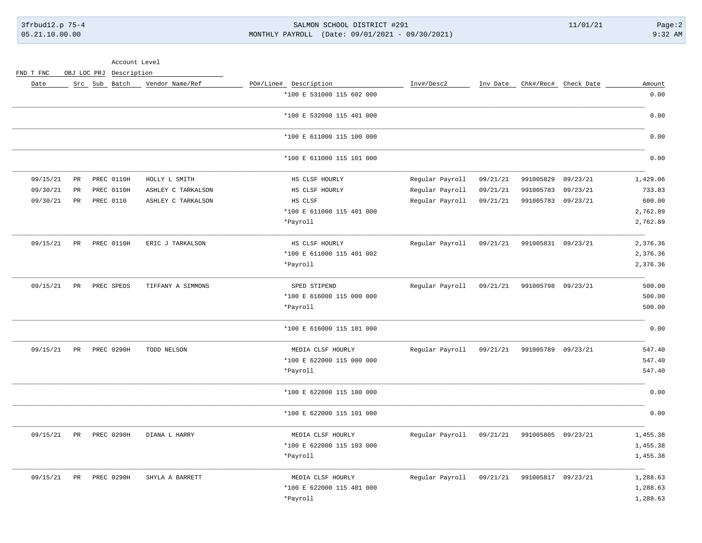3frbud12.p 75-4 Page:2 05.21.10.00.00 MONTHLY PAYROLL (Date: 09/01/2021 - 09/30/2021) 9:32 AM

Account Level

FND T FNC OBJ LOC PRJ Description

| Amount   | Chk#/Rec# Check Date |                    | Inv Date | Inv#/Desc2      | PO#/Line# Description     | Vendor Name/Ref    | Src Sub Batch |             | Date     |
|----------|----------------------|--------------------|----------|-----------------|---------------------------|--------------------|---------------|-------------|----------|
| 0.00     |                      |                    |          |                 | *100 E 531000 115 602 000 |                    |               |             |          |
| 0.00     |                      |                    |          |                 | *100 E 532000 115 401 000 |                    |               |             |          |
| 0.00     |                      |                    |          |                 | *100 E 611000 115 100 000 |                    |               |             |          |
| 0.00     |                      |                    |          |                 | *100 E 611000 115 101 000 |                    |               |             |          |
| 1,429.06 | 09/23/21             | 991005829          | 09/21/21 | Regular Payroll | HS CLSF HOURLY            | HOLLY L SMITH      | PREC 0110H    | PR          | 09/15/21 |
| 733.83   | 09/23/21             | 991005783          | 09/21/21 | Regular Payroll | HS CLSF HOURLY            | ASHLEY C TARKALSON | PREC 0110H    | $_{\rm PR}$ | 09/30/21 |
| 600.00   | 09/23/21             | 991005783          | 09/21/21 | Regular Payroll | HS CLSF                   | ASHLEY C TARKALSON | PREC 0110     | PR          | 09/30/21 |
| 2,762.89 |                      |                    |          |                 | *100 E 611000 115 401 000 |                    |               |             |          |
| 2,762.89 |                      |                    |          |                 | *Payroll                  |                    |               |             |          |
| 2,376.36 |                      | 991005831 09/23/21 | 09/21/21 | Regular Payroll | HS CLSF HOURLY            | ERIC J TARKALSON   | PREC 0110H    | PR          | 09/15/21 |
| 2,376.36 |                      |                    |          |                 | *100 E 611000 115 401 002 |                    |               |             |          |
| 2,376.36 |                      |                    |          |                 | *Payroll                  |                    |               |             |          |
| 500.00   |                      | 991005798 09/23/21 | 09/21/21 | Regular Payroll | SPED STIPEND              | TIFFANY A SIMMONS  | PREC SPEDS    | PR          | 09/15/21 |
| 500.00   |                      |                    |          |                 | *100 E 616000 115 000 000 |                    |               |             |          |
| 500.00   |                      |                    |          |                 | *Payroll                  |                    |               |             |          |
| 0.00     |                      |                    |          |                 | *100 E 616000 115 101 000 |                    |               |             |          |
| 547.40   |                      | 991005789 09/23/21 | 09/21/21 | Regular Payroll | MEDIA CLSF HOURLY         | TODD NELSON        | PREC 0290H    | PR          | 09/15/21 |
| 547.40   |                      |                    |          |                 | *100 E 622000 115 000 000 |                    |               |             |          |
| 547.40   |                      |                    |          |                 | *Payroll                  |                    |               |             |          |
| 0.00     |                      |                    |          |                 | *100 E 622000 115 100 000 |                    |               |             |          |
| 0.00     |                      |                    |          |                 | *100 E 622000 115 101 000 |                    |               |             |          |
| 1,455.38 |                      | 991005805 09/23/21 | 09/21/21 | Regular Payroll | MEDIA CLSF HOURLY         | DIANA L HARRY      | PREC 0290H    | PR          | 09/15/21 |
| 1,455.38 |                      |                    |          |                 | *100 E 622000 115 103 000 |                    |               |             |          |
| 1,455.38 |                      |                    |          |                 | *Payroll                  |                    |               |             |          |
| 1,288.63 |                      | 991005817 09/23/21 | 09/21/21 | Regular Payroll | MEDIA CLSF HOURLY         | SHYLA A BARRETT    | PREC 0290H    | PR          | 09/15/21 |
| 1,288.63 |                      |                    |          |                 | *100 E 622000 115 401 000 |                    |               |             |          |
| 1,288.63 |                      |                    |          |                 | *Payroll                  |                    |               |             |          |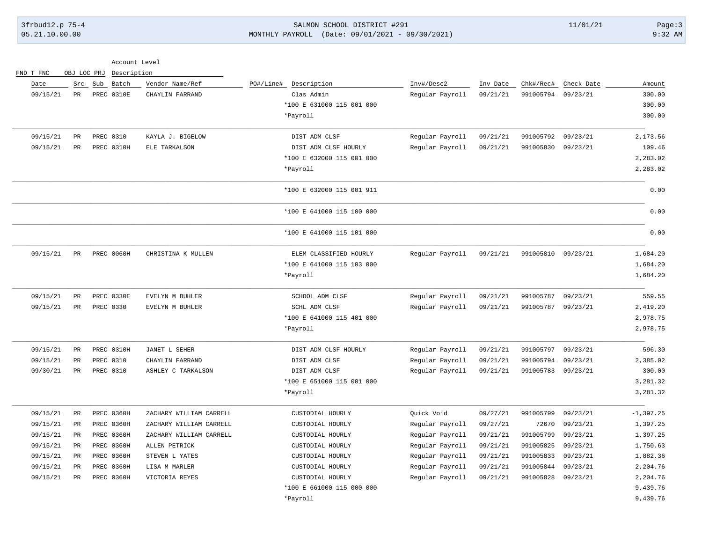FND T FNC OBJ LOC PRJ Description

## 3frbud12.p 75-4 Page:3 05.21.10.00.00 MONTHLY PAYROLL (Date: 09/01/2021 - 09/30/2021) 9:32 AM

| Account Level |  |
|---------------|--|
|               |  |

| Date     | Src             | Sub<br>Batch      | Vendor Name/Ref         | PO#/Line#<br>Description  | Inv#/Desc2      | Inv Date | Chk#/Rec# | Check Date | Amount       |
|----------|-----------------|-------------------|-------------------------|---------------------------|-----------------|----------|-----------|------------|--------------|
| 09/15/21 | PR              | PREC 0310E        | CHAYLIN FARRAND         | Clas Admin                | Regular Payroll | 09/21/21 | 991005794 | 09/23/21   | 300.00       |
|          |                 |                   |                         | *100 E 631000 115 001 000 |                 |          |           |            | 300.00       |
|          |                 |                   |                         | *Payroll                  |                 |          |           |            | 300.00       |
| 09/15/21 | $_{\rm PR}$     | PREC 0310         | KAYLA J. BIGELOW        | DIST ADM CLSF             | Regular Payroll | 09/21/21 | 991005792 | 09/23/21   | 2,173.56     |
| 09/15/21 | $_{\rm PR}$     | PREC 0310H        | ELE TARKALSON           | DIST ADM CLSF HOURLY      | Regular Payroll | 09/21/21 | 991005830 | 09/23/21   | 109.46       |
|          |                 |                   |                         | *100 E 632000 115 001 000 |                 |          |           |            | 2,283.02     |
|          |                 |                   |                         | *Payroll                  |                 |          |           |            | 2,283.02     |
|          |                 |                   |                         | *100 E 632000 115 001 911 |                 |          |           |            | 0.00         |
|          |                 |                   |                         | *100 E 641000 115 100 000 |                 |          |           |            | 0.00         |
|          |                 |                   |                         | *100 E 641000 115 101 000 |                 |          |           |            | 0.00         |
| 09/15/21 | PR              | PREC 0060H        | CHRISTINA K MULLEN      | ELEM CLASSIFIED HOURLY    | Regular Payroll | 09/21/21 | 991005810 | 09/23/21   | 1,684.20     |
|          |                 |                   |                         | *100 E 641000 115 103 000 |                 |          |           |            | 1,684.20     |
|          |                 |                   |                         | *Payroll                  |                 |          |           |            | 1,684.20     |
| 09/15/21 | PR              | PREC 0330E        | EVELYN M BUHLER         | SCHOOL ADM CLSF           | Regular Payroll | 09/21/21 | 991005787 | 09/23/21   | 559.55       |
| 09/15/21 | PR              | PREC 0330         | EVELYN M BUHLER         | SCHL ADM CLSF             | Regular Payroll | 09/21/21 | 991005787 | 09/23/21   | 2,419.20     |
|          |                 |                   |                         | *100 E 641000 115 401 000 |                 |          |           |            | 2,978.75     |
|          |                 |                   |                         | *Payroll                  |                 |          |           |            | 2,978.75     |
| 09/15/21 | $_{\rm PR}$     | <b>PREC 0310H</b> | JANET L SEHER           | DIST ADM CLSF HOURLY      | Regular Payroll | 09/21/21 | 991005797 | 09/23/21   | 596.30       |
| 09/15/21 | $_{\rm PR}$     | PREC 0310         | CHAYLIN FARRAND         | DIST ADM CLSF             | Regular Payroll | 09/21/21 | 991005794 | 09/23/21   | 2,385.02     |
| 09/30/21 | $_{\rm PR}$     | PREC 0310         | ASHLEY C TARKALSON      | DIST ADM CLSF             | Regular Payroll | 09/21/21 | 991005783 | 09/23/21   | 300.00       |
|          |                 |                   |                         | *100 E 651000 115 001 000 |                 |          |           |            | 3,281.32     |
|          |                 |                   |                         | *Payroll                  |                 |          |           |            | 3,281.32     |
| 09/15/21 | $_{\rm PR}$     | PREC 0360H        | ZACHARY WILLIAM CARRELL | CUSTODIAL HOURLY          | Quick Void      | 09/27/21 | 991005799 | 09/23/21   | $-1, 397.25$ |
| 09/15/21 | $\mbox{\sf PR}$ | PREC 0360H        | ZACHARY WILLIAM CARRELL | CUSTODIAL HOURLY          | Regular Payroll | 09/27/21 | 72670     | 09/23/21   | 1,397.25     |
| 09/15/21 | $_{\rm PR}$     | PREC 0360H        | ZACHARY WILLIAM CARRELL | CUSTODIAL HOURLY          | Regular Payroll | 09/21/21 | 991005799 | 09/23/21   | 1,397.25     |
| 09/15/21 | PR              | PREC 0360H        | ALLEN PETRICK           | CUSTODIAL HOURLY          | Regular Payroll | 09/21/21 | 991005825 | 09/23/21   | 1,750.63     |
| 09/15/21 | PR              | PREC 0360H        | STEVEN L YATES          | CUSTODIAL HOURLY          | Regular Payroll | 09/21/21 | 991005833 | 09/23/21   | 1,882.36     |
| 09/15/21 | $_{\rm PR}$     | PREC 0360H        | LISA M MARLER           | CUSTODIAL HOURLY          | Regular Payroll | 09/21/21 | 991005844 | 09/23/21   | 2,204.76     |
| 09/15/21 | $_{\rm PR}$     | PREC 0360H        | VICTORIA REYES          | CUSTODIAL HOURLY          | Regular Payroll | 09/21/21 | 991005828 | 09/23/21   | 2,204.76     |
|          |                 |                   |                         | *100 E 661000 115 000 000 |                 |          |           |            | 9,439.76     |
|          |                 |                   |                         | *Payroll                  |                 |          |           |            | 9,439.76     |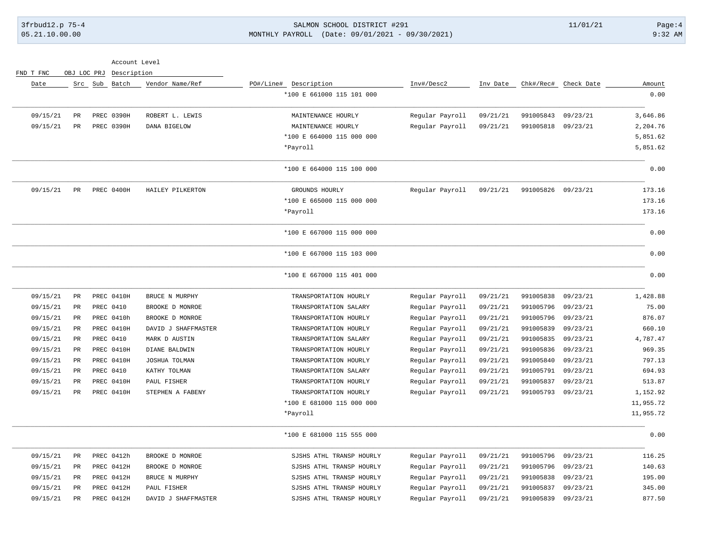# 3frbud12.p 75-4 Page:4 SALMON SCHOOL DISTRICT #291 11/01/21 Page:4 05.21.10.00.00 MONTHLY PAYROLL (Date: 09/01/2021 - 09/30/2021) 9:32 AM

|  | FND T FNC |  | OBJ LOC PRJ Description |
|--|-----------|--|-------------------------|
|  |           |  |                         |

| Date     |                 | Src Sub Batch | Vendor Name/Ref     | PO#/Line# Description     | Inv#/Desc2      | Inv Date | Chk#/Rec# | Check Date | Amount    |
|----------|-----------------|---------------|---------------------|---------------------------|-----------------|----------|-----------|------------|-----------|
|          |                 |               |                     | *100 E 661000 115 101 000 |                 |          |           |            | 0.00      |
| 09/15/21 | PR              | PREC 0390H    | ROBERT L. LEWIS     | MAINTENANCE HOURLY        | Regular Payroll | 09/21/21 | 991005843 | 09/23/21   | 3,646.86  |
| 09/15/21 | PR              | PREC 0390H    | DANA BIGELOW        | MAINTENANCE HOURLY        | Regular Payroll | 09/21/21 | 991005818 | 09/23/21   | 2,204.76  |
|          |                 |               |                     | *100 E 664000 115 000 000 |                 |          |           |            | 5,851.62  |
|          |                 |               |                     | *Payroll                  |                 |          |           |            | 5,851.62  |
|          |                 |               |                     | *100 E 664000 115 100 000 |                 |          |           |            | 0.00      |
| 09/15/21 | $_{\rm PR}$     | PREC 0400H    | HAILEY PILKERTON    | GROUNDS HOURLY            | Regular Payroll | 09/21/21 | 991005826 | 09/23/21   | 173.16    |
|          |                 |               |                     | *100 E 665000 115 000 000 |                 |          |           |            | 173.16    |
|          |                 |               |                     | *Payroll                  |                 |          |           |            | 173.16    |
|          |                 |               |                     | *100 E 667000 115 000 000 |                 |          |           |            | 0.00      |
|          |                 |               |                     | *100 E 667000 115 103 000 |                 |          |           |            | 0.00      |
|          |                 |               |                     | *100 E 667000 115 401 000 |                 |          |           |            | 0.00      |
| 09/15/21 | $\mbox{\sf PR}$ | PREC 0410H    | BRUCE N MURPHY      | TRANSPORTATION HOURLY     | Regular Payroll | 09/21/21 | 991005838 | 09/23/21   | 1,428.88  |
| 09/15/21 | PR              | PREC 0410     | BROOKE D MONROE     | TRANSPORTATION SALARY     | Regular Payroll | 09/21/21 | 991005796 | 09/23/21   | 75.00     |
| 09/15/21 | PR              | PREC 0410h    | BROOKE D MONROE     | TRANSPORTATION HOURLY     | Regular Payroll | 09/21/21 | 991005796 | 09/23/21   | 876.07    |
| 09/15/21 | PR              | PREC 0410H    | DAVID J SHAFFMASTER | TRANSPORTATION HOURLY     | Regular Payroll | 09/21/21 | 991005839 | 09/23/21   | 660.10    |
| 09/15/21 | PR              | PREC 0410     | MARK D AUSTIN       | TRANSPORTATION SALARY     | Regular Payroll | 09/21/21 | 991005835 | 09/23/21   | 4,787.47  |
| 09/15/21 | $_{\rm PR}$     | PREC 0410H    | DIANE BALDWIN       | TRANSPORTATION HOURLY     | Regular Payroll | 09/21/21 | 991005836 | 09/23/21   | 969.35    |
| 09/15/21 | PR              | PREC 0410H    | JOSHUA TOLMAN       | TRANSPORTATION HOURLY     | Regular Payroll | 09/21/21 | 991005840 | 09/23/21   | 797.13    |
| 09/15/21 | $\mbox{\sf PR}$ | PREC 0410     | KATHY TOLMAN        | TRANSPORTATION SALARY     | Regular Payroll | 09/21/21 | 991005791 | 09/23/21   | 694.93    |
| 09/15/21 | PR              | PREC 0410H    | PAUL FISHER         | TRANSPORTATION HOURLY     | Regular Payroll | 09/21/21 | 991005837 | 09/23/21   | 513.87    |
| 09/15/21 | PR              | PREC 0410H    | STEPHEN A FABENY    | TRANSPORTATION HOURLY     | Regular Payroll | 09/21/21 | 991005793 | 09/23/21   | 1,152.92  |
|          |                 |               |                     | *100 E 681000 115 000 000 |                 |          |           |            | 11,955.72 |
|          |                 |               |                     | *Payroll                  |                 |          |           |            | 11,955.72 |
|          |                 |               |                     | *100 E 681000 115 555 000 |                 |          |           |            | 0.00      |
| 09/15/21 | PR              | PREC 0412h    | BROOKE D MONROE     | SJSHS ATHL TRANSP HOURLY  | Regular Payroll | 09/21/21 | 991005796 | 09/23/21   | 116.25    |
| 09/15/21 | PR              | PREC 0412H    | BROOKE D MONROE     | SJSHS ATHL TRANSP HOURLY  | Regular Payroll | 09/21/21 | 991005796 | 09/23/21   | 140.63    |
| 09/15/21 | PR              | PREC 0412H    | BRUCE N MURPHY      | SJSHS ATHL TRANSP HOURLY  | Regular Payroll | 09/21/21 | 991005838 | 09/23/21   | 195.00    |
| 09/15/21 | PR              | PREC 0412H    | PAUL FISHER         | SJSHS ATHL TRANSP HOURLY  | Regular Payroll | 09/21/21 | 991005837 | 09/23/21   | 345.00    |
| 09/15/21 | $_{\rm PR}$     | PREC 0412H    | DAVID J SHAFFMASTER | SJSHS ATHL TRANSP HOURLY  | Regular Payroll | 09/21/21 | 991005839 | 09/23/21   | 877.50    |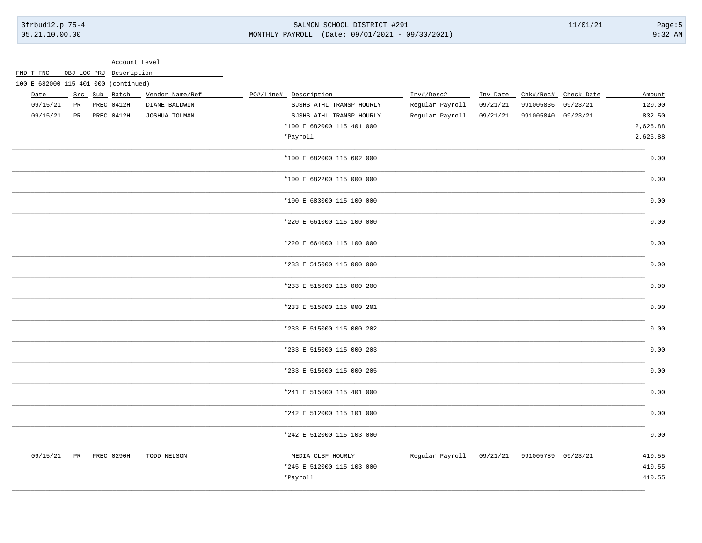FND T FNC OBJ LOC PRJ Description

#### SALMON SCHOOL DISTRICT #291 MONTHLY PAYROLL (Date: 09/01/2021 - 09/30/2021)

 $11/01/21$ 

 $Page:5$  $9:32$  AM

Account Level

| 100 E 682000 115 401 000 (continued) |    |               |                 |                           |                 |          |                             |                      |          |
|--------------------------------------|----|---------------|-----------------|---------------------------|-----------------|----------|-----------------------------|----------------------|----------|
| Date                                 |    | Src Sub Batch | Vendor Name/Ref | PO#/Line# Description     | Inv#/Desc2      | Inv Date |                             | Chk#/Rec# Check Date | Amount   |
| 09/15/21                             | PR | PREC 0412H    | DIANE BALDWIN   | SJSHS ATHL TRANSP HOURLY  | Regular Payroll | 09/21/21 | 991005836                   | 09/23/21             | 120.00   |
| 09/15/21                             | PR | PREC 0412H    | JOSHUA TOLMAN   | SJSHS ATHL TRANSP HOURLY  | Regular Payroll | 09/21/21 | 991005840 09/23/21          |                      | 832.50   |
|                                      |    |               |                 | *100 E 682000 115 401 000 |                 |          |                             |                      | 2,626.88 |
|                                      |    |               |                 | *Payroll                  |                 |          |                             |                      | 2,626.88 |
|                                      |    |               |                 | *100 E 682000 115 602 000 |                 |          |                             |                      | 0.00     |
|                                      |    |               |                 | *100 E 682200 115 000 000 |                 |          |                             |                      | 0.00     |
|                                      |    |               |                 | *100 E 683000 115 100 000 |                 |          |                             |                      | 0.00     |
|                                      |    |               |                 | *220 E 661000 115 100 000 |                 |          |                             |                      | 0.00     |
|                                      |    |               |                 | *220 E 664000 115 100 000 |                 |          |                             |                      | 0.00     |
|                                      |    |               |                 | *233 E 515000 115 000 000 |                 |          |                             |                      | 0.00     |
|                                      |    |               |                 | *233 E 515000 115 000 200 |                 |          |                             |                      | 0.00     |
|                                      |    |               |                 | *233 E 515000 115 000 201 |                 |          |                             |                      | 0.00     |
|                                      |    |               |                 | *233 E 515000 115 000 202 |                 |          |                             |                      | 0.00     |
|                                      |    |               |                 | *233 E 515000 115 000 203 |                 |          |                             |                      | 0.00     |
|                                      |    |               |                 | *233 E 515000 115 000 205 |                 |          |                             |                      | 0.00     |
|                                      |    |               |                 | *241 E 515000 115 401 000 |                 |          |                             |                      | 0.00     |
|                                      |    |               |                 | *242 E 512000 115 101 000 |                 |          |                             |                      | 0.00     |
|                                      |    |               |                 | *242 E 512000 115 103 000 |                 |          |                             |                      | 0.00     |
| 09/15/21                             |    | PR PREC 0290H | TODD NELSON     | MEDIA CLSF HOURLY         | Regular Payroll |          | 09/21/21 991005789 09/23/21 |                      | 410.55   |
|                                      |    |               |                 | *245 E 512000 115 103 000 |                 |          |                             |                      | 410.55   |
|                                      |    |               |                 | *Payroll                  |                 |          |                             |                      | 410.55   |
|                                      |    |               |                 |                           |                 |          |                             |                      |          |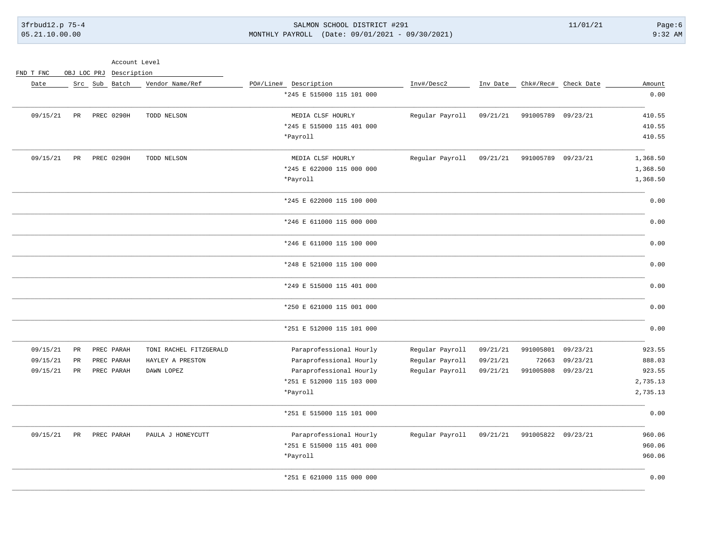## 3frbud12.p 75-4 Page:6 SALMON SCHOOL DISTRICT #291 11/01/21 Page:6 05.21.10.00.00 MONTHLY PAYROLL (Date: 09/01/2021 - 09/30/2021) 9:32 AM

| Account Level |  |
|---------------|--|
|               |  |

FND T FNC OBJ LOC PRJ Description

| Amount<br>0.00 | Chk#/Rec# Check Date |                    | Inv Date | Inv#/Desc2      | PO#/Line# Description<br>*245 E 515000 115 101 000 | Vendor Name/Ref        | Src Sub Batch |    | Date     |
|----------------|----------------------|--------------------|----------|-----------------|----------------------------------------------------|------------------------|---------------|----|----------|
| 410.55         | 09/23/21             | 991005789          | 09/21/21 | Regular Payroll | MEDIA CLSF HOURLY                                  | TODD NELSON            | PREC 0290H    | PR | 09/15/21 |
| 410.55         |                      |                    |          |                 | *245 E 515000 115 401 000                          |                        |               |    |          |
| 410.55         |                      |                    |          |                 | *Payroll                                           |                        |               |    |          |
|                |                      |                    |          |                 |                                                    |                        |               |    |          |
| 1,368.50       | 09/23/21             | 991005789          | 09/21/21 | Regular Payroll | MEDIA CLSF HOURLY                                  | TODD NELSON            | PREC 0290H    | PR | 09/15/21 |
| 1,368.50       |                      |                    |          |                 | *245 E 622000 115 000 000                          |                        |               |    |          |
| 1,368.50       |                      |                    |          |                 | *Payroll                                           |                        |               |    |          |
| 0.00           |                      |                    |          |                 | *245 E 622000 115 100 000                          |                        |               |    |          |
| 0.00           |                      |                    |          |                 | *246 E 611000 115 000 000                          |                        |               |    |          |
| 0.00           |                      |                    |          |                 | *246 E 611000 115 100 000                          |                        |               |    |          |
| 0.00           |                      |                    |          |                 | *248 E 521000 115 100 000                          |                        |               |    |          |
| 0.00           |                      |                    |          |                 | *249 E 515000 115 401 000                          |                        |               |    |          |
| 0.00           |                      |                    |          |                 | *250 E 621000 115 001 000                          |                        |               |    |          |
| 0.00           |                      |                    |          |                 | *251 E 512000 115 101 000                          |                        |               |    |          |
| 923.55         | 09/23/21             | 991005801          | 09/21/21 | Regular Payroll | Paraprofessional Hourly                            | TONI RACHEL FITZGERALD | PREC PARAH    | PR | 09/15/21 |
| 888.03         | 09/23/21             | 72663              | 09/21/21 | Regular Payroll | Paraprofessional Hourly                            | HAYLEY A PRESTON       | PREC PARAH    | PR | 09/15/21 |
| 923.55         | 09/23/21             | 991005808          | 09/21/21 | Regular Payroll | Paraprofessional Hourly                            | DAWN LOPEZ             | PREC PARAH    | PR | 09/15/21 |
| 2,735.13       |                      |                    |          |                 | *251 E 512000 115 103 000                          |                        |               |    |          |
| 2,735.13       |                      |                    |          |                 | *Payroll                                           |                        |               |    |          |
| 0.00           |                      |                    |          |                 | *251 E 515000 115 101 000                          |                        |               |    |          |
| 960.06         |                      | 991005822 09/23/21 | 09/21/21 | Regular Payroll | Paraprofessional Hourly                            | PAULA J HONEYCUTT      | PREC PARAH    | PR | 09/15/21 |
| 960.06         |                      |                    |          |                 | *251 E 515000 115 401 000                          |                        |               |    |          |
| 960.06         |                      |                    |          |                 | *Payroll                                           |                        |               |    |          |
| 0.00           |                      |                    |          |                 | *251 E 621000 115 000 000                          |                        |               |    |          |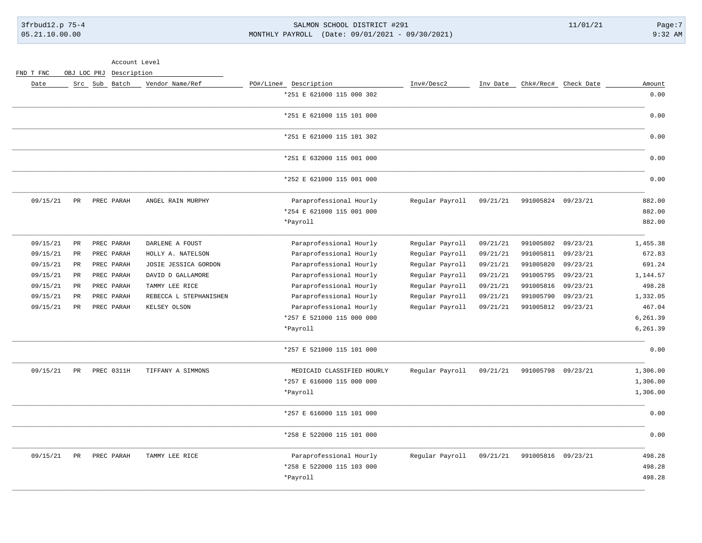## 3frbud12.p 75-4 Page:7 3frbud12.p 75-4 Page:7 05.21.10.00.00 MONTHLY PAYROLL (Date: 09/01/2021 - 09/30/2021) 9:32 AM

FND T FNC OBJ LOC PRJ Description

| Amount   | Chk#/Rec# Check Date |                    | Inv Date | Inv#/Desc2      | PO#/Line# Description      | Vendor Name/Ref        | Src Sub Batch | Date                    |
|----------|----------------------|--------------------|----------|-----------------|----------------------------|------------------------|---------------|-------------------------|
| 0.00     |                      |                    |          |                 | *251 E 621000 115 000 302  |                        |               |                         |
| 0.00     |                      |                    |          |                 | *251 E 621000 115 101 000  |                        |               |                         |
| 0.00     |                      |                    |          |                 | *251 E 621000 115 101 302  |                        |               |                         |
| 0.00     |                      |                    |          |                 | *251 E 632000 115 001 000  |                        |               |                         |
| 0.00     |                      |                    |          |                 | *252 E 621000 115 001 000  |                        |               |                         |
| 882.00   |                      | 991005824 09/23/21 | 09/21/21 | Regular Payroll | Paraprofessional Hourly    | ANGEL RAIN MURPHY      | PREC PARAH    | 09/15/21<br>PR          |
| 882.00   |                      |                    |          |                 | *254 E 621000 115 001 000  |                        |               |                         |
| 882.00   |                      |                    |          |                 | *Payroll                   |                        |               |                         |
| 1,455.38 | 09/23/21             | 991005802          | 09/21/21 | Regular Payroll | Paraprofessional Hourly    | DARLENE A FOUST        | PREC PARAH    | 09/15/21<br>PR          |
| 672.83   | 09/23/21             | 991005811          | 09/21/21 | Regular Payroll | Paraprofessional Hourly    | HOLLY A. NATELSON      | PREC PARAH    | 09/15/21<br>PR          |
| 691.24   | 09/23/21             | 991005820          | 09/21/21 | Regular Payroll | Paraprofessional Hourly    | JOSIE JESSICA GORDON   | PREC PARAH    | 09/15/21<br>PR          |
| 1,144.57 | 09/23/21             | 991005795          | 09/21/21 | Regular Payroll | Paraprofessional Hourly    | DAVID D GALLAMORE      | PREC PARAH    | 09/15/21<br>$_{\rm PR}$ |
| 498.28   | 09/23/21             | 991005816          | 09/21/21 | Regular Payroll | Paraprofessional Hourly    | TAMMY LEE RICE         | PREC PARAH    | 09/15/21<br>PR          |
| 1,332.05 | 09/23/21             | 991005790          | 09/21/21 | Regular Payroll | Paraprofessional Hourly    | REBECCA L STEPHANISHEN | PREC PARAH    | 09/15/21<br>PR          |
| 467.04   | 09/23/21             | 991005812          | 09/21/21 | Regular Payroll | Paraprofessional Hourly    | KELSEY OLSON           | PREC PARAH    | 09/15/21<br>PR          |
| 6,261.39 |                      |                    |          |                 | *257 E 521000 115 000 000  |                        |               |                         |
| 6,261.39 |                      |                    |          |                 | *Payroll                   |                        |               |                         |
| 0.00     |                      |                    |          |                 | *257 E 521000 115 101 000  |                        |               |                         |
| 1,306.00 |                      | 991005798 09/23/21 | 09/21/21 | Regular Payroll | MEDICAID CLASSIFIED HOURLY | TIFFANY A SIMMONS      | PREC 0311H    | 09/15/21<br>PR          |
| 1,306.00 |                      |                    |          |                 | *257 E 616000 115 000 000  |                        |               |                         |
| 1,306.00 |                      |                    |          |                 | *Payroll                   |                        |               |                         |
| 0.00     |                      |                    |          |                 | *257 E 616000 115 101 000  |                        |               |                         |
| 0.00     |                      |                    |          |                 | *258 E 522000 115 101 000  |                        |               |                         |
| 498.28   | 09/23/21             | 991005816          | 09/21/21 | Regular Payroll | Paraprofessional Hourly    | TAMMY LEE RICE         | PREC PARAH    | 09/15/21<br>PR          |
| 498.28   |                      |                    |          |                 | *258 E 522000 115 103 000  |                        |               |                         |
| 498.28   |                      |                    |          |                 | *Payroll                   |                        |               |                         |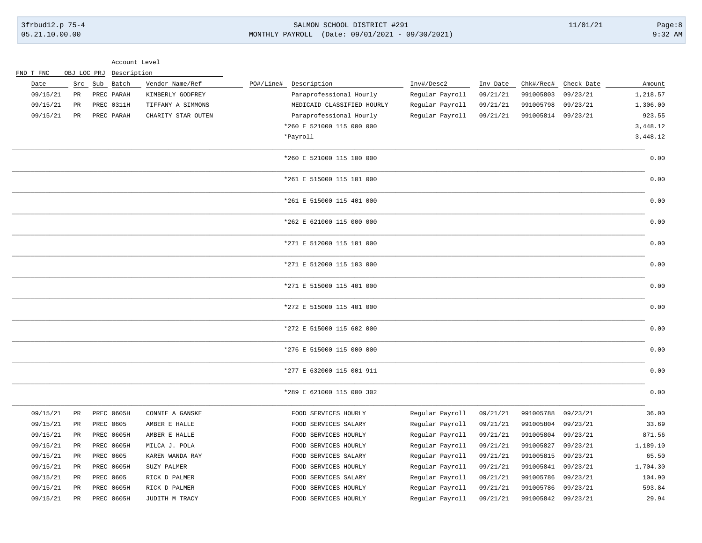| 3frbud12.p 75-4 | SALMON SCHOOL DISTRICT #291                     | 11/01/21 | Page:8    |
|-----------------|-------------------------------------------------|----------|-----------|
| 05.21.10.00.00  | MONTHLY PAYROLL (Date: 09/01/2021 - 09/30/2021) |          | $9:32$ AM |
|                 |                                                 |          |           |

#### Account Level

| FND T FNC | OBJ LOC PRJ | Description |                    |           |                            |                 |          |                    |                      |          |
|-----------|-------------|-------------|--------------------|-----------|----------------------------|-----------------|----------|--------------------|----------------------|----------|
| Date      | Src         | Sub Batch   | Vendor Name/Ref    | PO#/Line# | Description                | Inv#/Desc2      | Inv Date |                    | Chk#/Rec# Check Date | Amount   |
| 09/15/21  | PR          | PREC PARAH  | KIMBERLY GODFREY   |           | Paraprofessional Hourly    | Regular Payroll | 09/21/21 | 991005803          | 09/23/21             | 1,218.57 |
| 09/15/21  | PR          | PREC 0311H  | TIFFANY A SIMMONS  |           | MEDICAID CLASSIFIED HOURLY | Regular Payroll | 09/21/21 | 991005798          | 09/23/21             | 1,306.00 |
| 09/15/21  | PR          | PREC PARAH  | CHARITY STAR OUTEN |           | Paraprofessional Hourly    | Regular Payroll | 09/21/21 | 991005814 09/23/21 |                      | 923.55   |
|           |             |             |                    |           | *260 E 521000 115 000 000  |                 |          |                    |                      | 3,448.12 |
|           |             |             |                    |           | *Payroll                   |                 |          |                    |                      | 3,448.12 |
|           |             |             |                    |           | *260 E 521000 115 100 000  |                 |          |                    |                      | 0.00     |
|           |             |             |                    |           | *261 E 515000 115 101 000  |                 |          |                    |                      | 0.00     |
|           |             |             |                    |           | *261 E 515000 115 401 000  |                 |          |                    |                      | 0.00     |
|           |             |             |                    |           | *262 E 621000 115 000 000  |                 |          |                    |                      | 0.00     |
|           |             |             |                    |           | *271 E 512000 115 101 000  |                 |          |                    |                      | 0.00     |
|           |             |             |                    |           | *271 E 512000 115 103 000  |                 |          |                    |                      | 0.00     |
|           |             |             |                    |           | *271 E 515000 115 401 000  |                 |          |                    |                      | 0.00     |
|           |             |             |                    |           | *272 E 515000 115 401 000  |                 |          |                    |                      | 0.00     |
|           |             |             |                    |           | *272 E 515000 115 602 000  |                 |          |                    |                      | 0.00     |
|           |             |             |                    |           | *276 E 515000 115 000 000  |                 |          |                    |                      | 0.00     |
|           |             |             |                    |           | *277 E 632000 115 001 911  |                 |          |                    |                      | 0.00     |
|           |             |             |                    |           | *289 E 621000 115 000 302  |                 |          |                    |                      | 0.00     |
| 09/15/21  | PR          | PREC 0605H  | CONNIE A GANSKE    |           | FOOD SERVICES HOURLY       | Regular Payroll | 09/21/21 | 991005788          | 09/23/21             | 36.00    |
| 09/15/21  | PR          | PREC 0605   | AMBER E HALLE      |           | FOOD SERVICES SALARY       | Regular Payroll | 09/21/21 | 991005804          | 09/23/21             | 33.69    |
| 09/15/21  | PR          | PREC 0605H  | AMBER E HALLE      |           | FOOD SERVICES HOURLY       | Regular Payroll | 09/21/21 | 991005804          | 09/23/21             | 871.56   |
| 09/15/21  | PR          | PREC 0605H  | MILCA J. POLA      |           | FOOD SERVICES HOURLY       | Regular Payroll | 09/21/21 | 991005827          | 09/23/21             | 1,189.10 |
| 09/15/21  | PR          | PREC 0605   | KAREN WANDA RAY    |           | FOOD SERVICES SALARY       | Regular Payroll | 09/21/21 | 991005815          | 09/23/21             | 65.50    |
| 09/15/21  | PR          | PREC 0605H  | SUZY PALMER        |           | FOOD SERVICES HOURLY       | Regular Payroll | 09/21/21 | 991005841          | 09/23/21             | 1,704.30 |
| 09/15/21  | PR          | PREC 0605   | RICK D PALMER      |           | FOOD SERVICES SALARY       | Regular Payroll | 09/21/21 | 991005786          | 09/23/21             | 104.90   |
| 09/15/21  | PR          | PREC 0605H  | RICK D PALMER      |           | FOOD SERVICES HOURLY       | Regular Payroll | 09/21/21 | 991005786          | 09/23/21             | 593.84   |
| 09/15/21  | PR          | PREC 0605H  | JUDITH M TRACY     |           | FOOD SERVICES HOURLY       | Regular Payroll | 09/21/21 | 991005842 09/23/21 |                      | 29.94    |